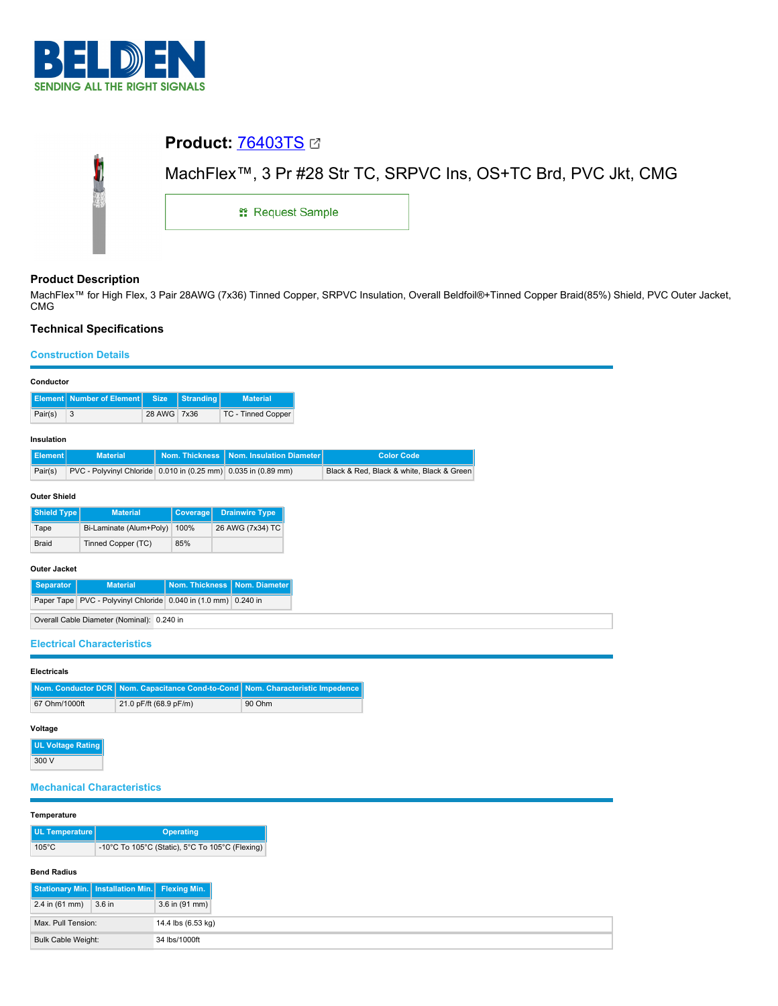

# **Product:** [76403TS](https://catalog.belden.com/index.cfm?event=pd&p=PF_76403TS&tab=downloads)



## **Product Description**

MachFlex™ for High Flex, 3 Pair 28AWG (7x36) Tinned Copper, SRPVC Insulation, Overall Beldfoil®+Tinned Copper Braid(85%) Shield, PVC Outer Jacket, CMG

## **Technical Specifications**

Max. Pull Tension: 14.4 lbs (6.53 kg) Bulk Cable Weight: 34 lbs/1000ft

## **Construction Details**

| Conductor                                                                                     |                                                                |                          |                          |                                            |                               |                                                 |  |                               |                                           |
|-----------------------------------------------------------------------------------------------|----------------------------------------------------------------|--------------------------|--------------------------|--------------------------------------------|-------------------------------|-------------------------------------------------|--|-------------------------------|-------------------------------------------|
| <b>Element</b>                                                                                |                                                                | <b>Number of Element</b> |                          | <b>Size</b>                                | <b>Stranding</b>              | <b>Material</b>                                 |  |                               |                                           |
| Pair(s)                                                                                       | $\ensuremath{\mathsf{3}}$                                      |                          |                          | 28 AWG 7x36                                |                               | TC - Tinned Copper                              |  |                               |                                           |
| Insulation                                                                                    |                                                                |                          |                          |                                            |                               |                                                 |  |                               |                                           |
| <b>Element</b>                                                                                |                                                                | <b>Material</b>          |                          |                                            | Nom. Thickness                | Nom. Insulation Diameter                        |  |                               | <b>Color Code</b>                         |
| Pair(s)                                                                                       | PVC - Polyvinyl Chloride 0.010 in (0.25 mm) 0.035 in (0.89 mm) |                          |                          |                                            |                               |                                                 |  |                               | Black & Red, Black & white, Black & Green |
| <b>Outer Shield</b>                                                                           |                                                                |                          |                          |                                            |                               |                                                 |  |                               |                                           |
| <b>Shield Type</b>                                                                            |                                                                | <b>Material</b>          |                          |                                            |                               |                                                 |  |                               |                                           |
| Tape                                                                                          | Bi-Laminate (Alum+Poly)                                        |                          |                          | 100%                                       | 26 AWG (7x34) TC              |                                                 |  |                               |                                           |
| <b>Braid</b>                                                                                  |                                                                | Tinned Copper (TC)       |                          |                                            | 85%                           |                                                 |  |                               |                                           |
|                                                                                               |                                                                |                          |                          |                                            |                               |                                                 |  |                               |                                           |
| <b>Outer Jacket</b><br><b>Material</b><br>Nom. Thickness<br>Nom. Diameter<br><b>Separator</b> |                                                                |                          |                          |                                            |                               |                                                 |  |                               |                                           |
| Paper Tape PVC - Polyvinyl Chloride 0.040 in (1.0 mm) 0.240 in                                |                                                                |                          |                          |                                            |                               |                                                 |  |                               |                                           |
|                                                                                               |                                                                |                          |                          | Overall Cable Diameter (Nominal): 0.240 in |                               |                                                 |  |                               |                                           |
|                                                                                               |                                                                |                          |                          |                                            |                               |                                                 |  |                               |                                           |
| <b>Electrical Characteristics</b>                                                             |                                                                |                          |                          |                                            |                               |                                                 |  |                               |                                           |
| <b>Electricals</b>                                                                            |                                                                |                          |                          |                                            |                               |                                                 |  |                               |                                           |
| Nom. Conductor DCR                                                                            |                                                                |                          |                          |                                            | Nom. Capacitance Cond-to-Cond |                                                 |  | Nom. Characteristic Impedence |                                           |
| 67 Ohm/1000ft                                                                                 |                                                                |                          |                          | 21.0 pF/ft (68.9 pF/m)                     |                               | 90 Ohm                                          |  |                               |                                           |
|                                                                                               |                                                                |                          |                          |                                            |                               |                                                 |  |                               |                                           |
| Voltage                                                                                       |                                                                |                          |                          |                                            |                               |                                                 |  |                               |                                           |
| <b>UL Voltage Rating</b><br>300 V                                                             |                                                                |                          |                          |                                            |                               |                                                 |  |                               |                                           |
|                                                                                               |                                                                |                          |                          |                                            |                               |                                                 |  |                               |                                           |
| <b>Mechanical Characteristics</b>                                                             |                                                                |                          |                          |                                            |                               |                                                 |  |                               |                                           |
|                                                                                               |                                                                |                          |                          |                                            |                               |                                                 |  |                               |                                           |
| Temperature                                                                                   |                                                                |                          |                          |                                            |                               |                                                 |  |                               |                                           |
| <b>UL Temperature</b><br>$105^{\circ}$ C                                                      |                                                                |                          |                          |                                            | <b>Operating</b>              | -10°C To 105°C (Static), 5°C To 105°C (Flexing) |  |                               |                                           |
|                                                                                               |                                                                |                          |                          |                                            |                               |                                                 |  |                               |                                           |
| <b>Bend Radius</b>                                                                            |                                                                |                          |                          |                                            |                               |                                                 |  |                               |                                           |
| <b>Stationary Min.</b>                                                                        |                                                                |                          | <b>Installation Min.</b> | <b>Flexing Min.</b>                        |                               |                                                 |  |                               |                                           |
| 2.4 in $(61$ mm)<br>3.6 in (91 mm)<br>3.6 in                                                  |                                                                |                          |                          |                                            |                               |                                                 |  |                               |                                           |